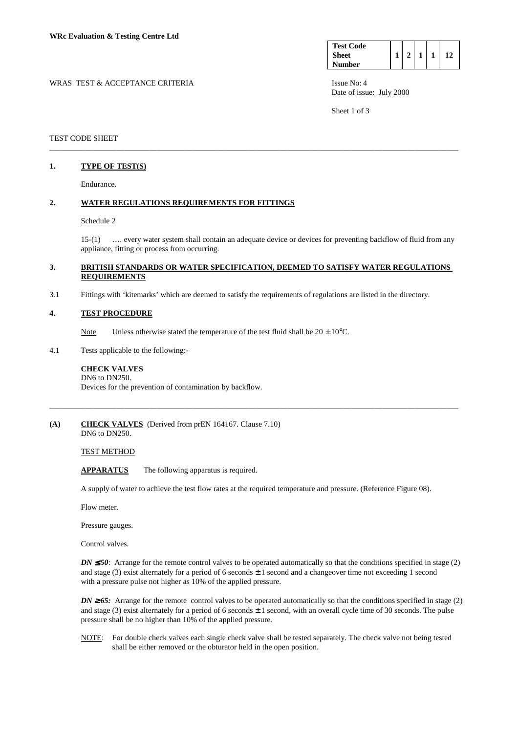| <b>Test Code</b> |  |  |  |
|------------------|--|--|--|
| <b>Sheet</b>     |  |  |  |
| <b>Number</b>    |  |  |  |

WRAS TEST & ACCEPTANCE CRITERIA ISSUE No: 4 Date of issue: July 2000

Sheet 1 of 3

## TEST CODE SHEET

# **1. TYPE OF TEST(S)**

Endurance.

### **2. WATER REGULATIONS REQUIREMENTS FOR FITTINGS**

### Schedule 2

 15-(1) …. every water system shall contain an adequate device or devices for preventing backflow of fluid from any appliance, fitting or process from occurring.

## **3. BRITISH STANDARDS OR WATER SPECIFICATION, DEEMED TO SATISFY WATER REGULATIONS REQUIREMENTS**

\_\_\_\_\_\_\_\_\_\_\_\_\_\_\_\_\_\_\_\_\_\_\_\_\_\_\_\_\_\_\_\_\_\_\_\_\_\_\_\_\_\_\_\_\_\_\_\_\_\_\_\_\_\_\_\_\_\_\_\_\_\_\_\_\_\_\_\_\_\_\_\_\_\_\_\_\_\_\_\_\_\_\_\_\_\_\_\_\_\_\_\_\_\_\_\_\_\_\_\_\_\_\_

3.1 Fittings with 'kitemarks' which are deemed to satisfy the requirements of regulations are listed in the directory.

### **4. TEST PROCEDURE**

- Note Unless otherwise stated the temperature of the test fluid shall be  $20 \pm 10^{\circ}$ C.
- 4.1 Tests applicable to the following:-

#### **CHECK VALVES**  DN6 to DN250.

Devices for the prevention of contamination by backflow.

#### **(A) CHECK VALVES** (Derived from prEN 164167. Clause 7.10) DN6 to DN250.

TEST METHOD

**APPARATUS** The following apparatus is required.

A supply of water to achieve the test flow rates at the required temperature and pressure. (Reference Figure 08).

\_\_\_\_\_\_\_\_\_\_\_\_\_\_\_\_\_\_\_\_\_\_\_\_\_\_\_\_\_\_\_\_\_\_\_\_\_\_\_\_\_\_\_\_\_\_\_\_\_\_\_\_\_\_\_\_\_\_\_\_\_\_\_\_\_\_\_\_\_\_\_\_\_\_\_\_\_\_\_\_\_\_\_\_\_\_\_\_\_\_\_\_\_\_\_\_\_\_\_\_\_\_\_

Flow meter.

Pressure gauges.

Control valves.

*DN*  $\leq$  50: Arrange for the remote control valves to be operated automatically so that the conditions specified in stage (2) and stage (3) exist alternately for a period of 6 seconds  $\pm 1$  second and a changeover time not exceeding 1 second with a pressure pulse not higher as 10% of the applied pressure.

*DN* ≥65: Arrange for the remote control valves to be operated automatically so that the conditions specified in stage (2) and stage (3) exist alternately for a period of 6 seconds  $\pm 1$  second, with an overall cycle time of 30 seconds. The pulse pressure shall be no higher than 10% of the applied pressure.

 NOTE: For double check valves each single check valve shall be tested separately. The check valve not being tested shall be either removed or the obturator held in the open position.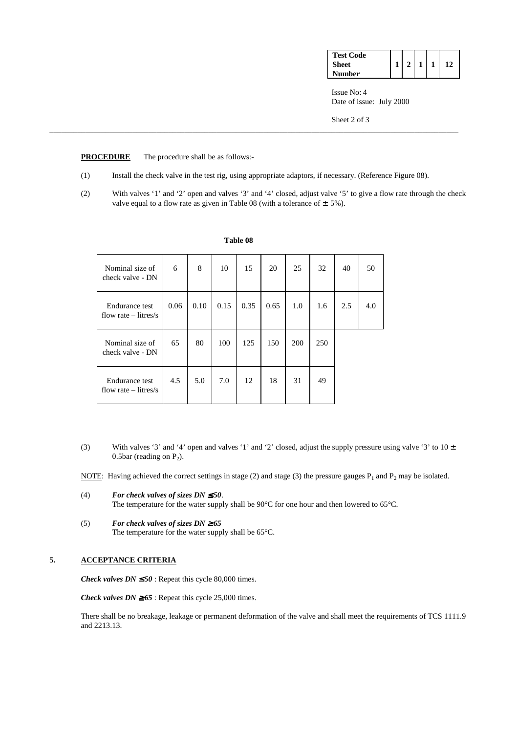| <b>Test Code</b> |  |  |  |
|------------------|--|--|--|
| Sheet            |  |  |  |
| Number           |  |  |  |

Issue No: 4 Date of issue: July 2000

Sheet 2 of 3

## **PROCEDURE** The procedure shall be as follows:-

(1) Install the check valve in the test rig, using appropriate adaptors, if necessary. (Reference Figure 08).

\_\_\_\_\_\_\_\_\_\_\_\_\_\_\_\_\_\_\_\_\_\_\_\_\_\_\_\_\_\_\_\_\_\_\_\_\_\_\_\_\_\_\_\_\_\_\_\_\_\_\_\_\_\_\_\_\_\_\_\_\_\_\_\_\_\_\_\_\_\_\_\_\_\_\_\_\_\_\_\_\_\_\_\_\_\_\_\_\_\_\_\_\_\_\_\_\_\_\_\_\_\_\_

 (2) With valves '1' and '2' open and valves '3' and '4' closed, adjust valve '5' to give a flow rate through the check valve equal to a flow rate as given in Table 08 (with a tolerance of  $\pm$  5%).

| Nominal size of<br>check valve - DN      | 6    | 8    | 10   | 15   | 20   | 25  | 32  | 40  | 50  |
|------------------------------------------|------|------|------|------|------|-----|-----|-----|-----|
| Endurance test<br>flow rate $-$ litres/s | 0.06 | 0.10 | 0.15 | 0.35 | 0.65 | 1.0 | 1.6 | 2.5 | 4.0 |
| Nominal size of<br>check valve - DN      | 65   | 80   | 100  | 125  | 150  | 200 | 250 |     |     |
| Endurance test<br>flow rate $-$ litres/s | 4.5  | 5.0  | 7.0  | 12   | 18   | 31  | 49  |     |     |

#### **Table 08**

- (3) With valves '3' and '4' open and valves '1' and '2' closed, adjust the supply pressure using valve '3' to  $10 \pm$ 0.5bar (reading on  $P_2$ ).
- NOTE: Having achieved the correct settings in stage (2) and stage (3) the pressure gauges  $P_1$  and  $P_2$  may be isolated.
- (4) *For check valves of sizes DN*  $\leq$  50. The temperature for the water supply shall be 90°C for one hour and then lowered to 65°C.
- (5) *For check valves of sizes DN* ≥ *65* The temperature for the water supply shall be 65°C.

# **5. ACCEPTANCE CRITERIA**

*Check valves DN*  $\leq 50$ : Repeat this cycle 80,000 times.

*Check valves DN*  $\geq 65$  : Repeat this cycle 25,000 times.

 There shall be no breakage, leakage or permanent deformation of the valve and shall meet the requirements of TCS 1111.9 and 2213.13.